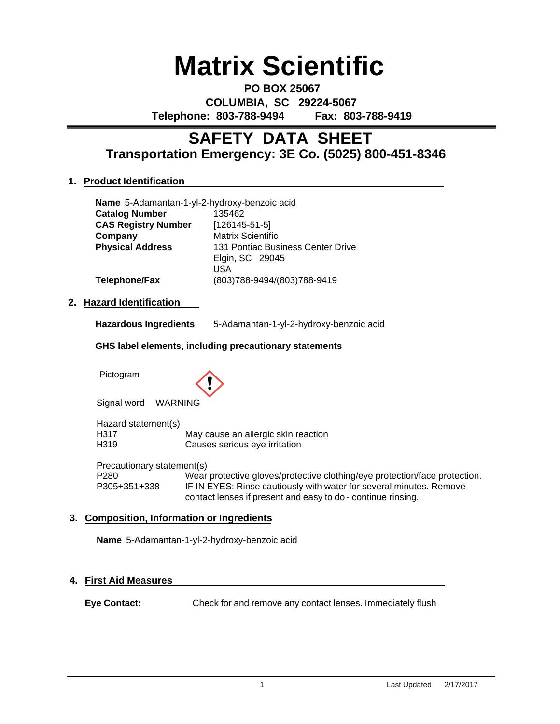# **Matrix Scientific**

**PO BOX 25067 COLUMBIA, SC 29224-5067 Telephone: 803-788-9494 Fax: 803-788-9419**

# **Transportation Emergency: 3E Co. (5025) 800-451-8346 SAFETY DATA SHEET**

# **1. Product Identification**

| Name 5-Adamantan-1-yl-2-hydroxy-benzoic acid |                                   |
|----------------------------------------------|-----------------------------------|
| <b>Catalog Number</b>                        | 135462                            |
| <b>CAS Registry Number</b>                   | $[126145-51-5]$                   |
| Company                                      | <b>Matrix Scientific</b>          |
| <b>Physical Address</b>                      | 131 Pontiac Business Center Drive |
|                                              | Elgin, SC 29045                   |
|                                              | USA                               |
| Telephone/Fax                                | (803) 788-9494/(803) 788-9419     |

# **2. Hazard Identification**

| <b>Hazardous Ingredients</b> | 5-Adamantan-1-yl-2-hydroxy-benzoic acid |
|------------------------------|-----------------------------------------|
|------------------------------|-----------------------------------------|

#### **GHS label elements, including precautionary statements**

Pictogram



Signal word WARNING

Hazard statement(s) H317 May cause an allergic skin reaction H319 Causes serious eye irritation

Precautionary statement(s) P280 Wear protective gloves/protective clothing/eye protection/face protection. P305+351+338 IF IN EYES: Rinse cautiously with water for several minutes. Remove contact lenses if present and easy to do - continue rinsing.

# **3. Composition, Information or Ingredients**

**Name** 5-Adamantan-1-yl-2-hydroxy-benzoic acid

# **4. First Aid Measures**

**Eye Contact:** Check for and remove any contact lenses. Immediately flush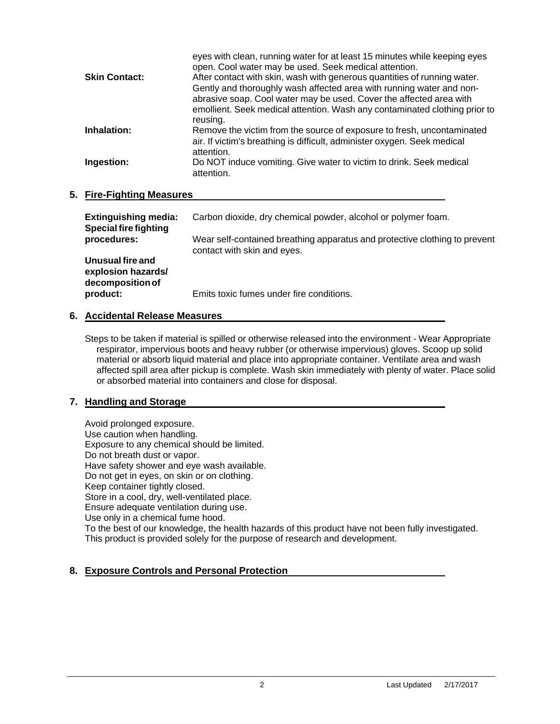|                      | eyes with clean, running water for at least 15 minutes while keeping eyes<br>open. Cool water may be used. Seek medical attention. |
|----------------------|------------------------------------------------------------------------------------------------------------------------------------|
| <b>Skin Contact:</b> | After contact with skin, wash with generous quantities of running water.                                                           |
|                      | Gently and thoroughly wash affected area with running water and non-                                                               |
|                      | abrasive soap. Cool water may be used. Cover the affected area with                                                                |
|                      | emollient. Seek medical attention. Wash any contaminated clothing prior to                                                         |
|                      | reusing.                                                                                                                           |
| Inhalation:          | Remove the victim from the source of exposure to fresh, uncontaminated                                                             |
|                      | air. If victim's breathing is difficult, administer oxygen. Seek medical                                                           |
|                      | attention.                                                                                                                         |
| Ingestion:           | Do NOT induce vomiting. Give water to victim to drink. Seek medical                                                                |
|                      | attention.                                                                                                                         |
|                      |                                                                                                                                    |

#### **5. Fire-Fighting Measures**

| <b>Extinguishing media:</b><br><b>Special fire fighting</b> | Carbon dioxide, dry chemical powder, alcohol or polymer foam.                                             |
|-------------------------------------------------------------|-----------------------------------------------------------------------------------------------------------|
| procedures:                                                 | Wear self-contained breathing apparatus and protective clothing to prevent<br>contact with skin and eyes. |
| Unusual fire and<br>explosion hazards/<br>decomposition of  |                                                                                                           |
| product:                                                    | Emits toxic fumes under fire conditions.                                                                  |

#### **6. Accidental Release Measures**

Steps to be taken if material is spilled or otherwise released into the environment - Wear Appropriate respirator, impervious boots and heavy rubber (or otherwise impervious) gloves. Scoop up solid material or absorb liquid material and place into appropriate container. Ventilate area and wash affected spill area after pickup is complete. Wash skin immediately with plenty of water. Place solid or absorbed material into containers and close for disposal.

# **7. Handling and Storage**

Avoid prolonged exposure. Use caution when handling. Exposure to any chemical should be limited. Do not breath dust or vapor. Have safety shower and eye wash available. Do not get in eyes, on skin or on clothing. Keep container tightly closed. Store in a cool, dry, well-ventilated place. Ensure adequate ventilation during use. Use only in a chemical fume hood. To the best of our knowledge, the health hazards of this product have not been fully investigated. This product is provided solely for the purpose of research and development.

# **8. Exposure Controls and Personal Protection**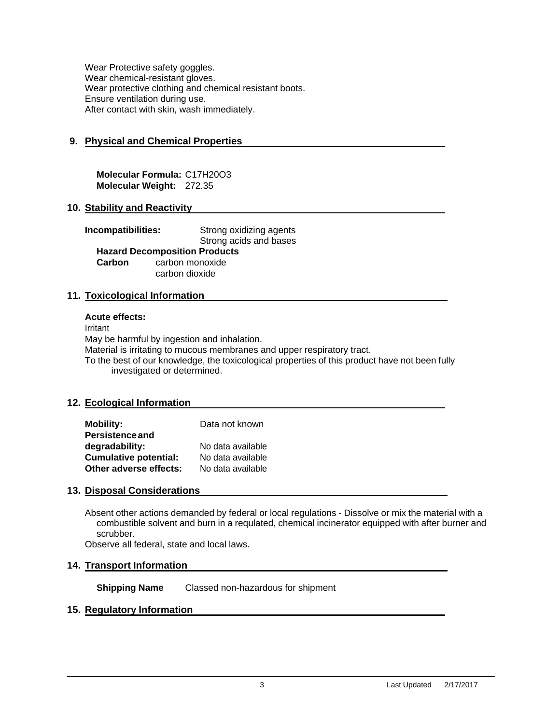Wear Protective safety goggles. Wear chemical-resistant gloves. Wear protective clothing and chemical resistant boots. Ensure ventilation during use. After contact with skin, wash immediately.

#### **9. Physical and Chemical Properties**

**Molecular Formula:** C17H20O3 **Molecular Weight:** 272.35

#### **10. Stability and Reactivity**

**Incompatibilities:** Strong oxidizing agents Strong acids and bases **Hazard Decomposition Products Carbon** carbon monoxide carbon dioxide

#### **11. Toxicological Information**

#### **Acute effects:**

Irritant

May be harmful by ingestion and inhalation. Material is irritating to mucous membranes and upper respiratory tract. To the best of our knowledge, the toxicological properties of this product have not been fully investigated or determined.

#### **12. Ecological Information**

| <b>Mobility:</b>             | Data not known    |
|------------------------------|-------------------|
| <b>Persistence and</b>       |                   |
| degradability:               | No data available |
| <b>Cumulative potential:</b> | No data available |
| Other adverse effects:       | No data available |

#### **13. Disposal Considerations**

Absent other actions demanded by federal or local regulations - Dissolve or mix the material with a combustible solvent and burn in a requlated, chemical incinerator equipped with after burner and scrubber.

Observe all federal, state and local laws.

#### **14. Transport Information**

**Shipping Name** Classed non-hazardous for shipment

#### **15. Regulatory Information**